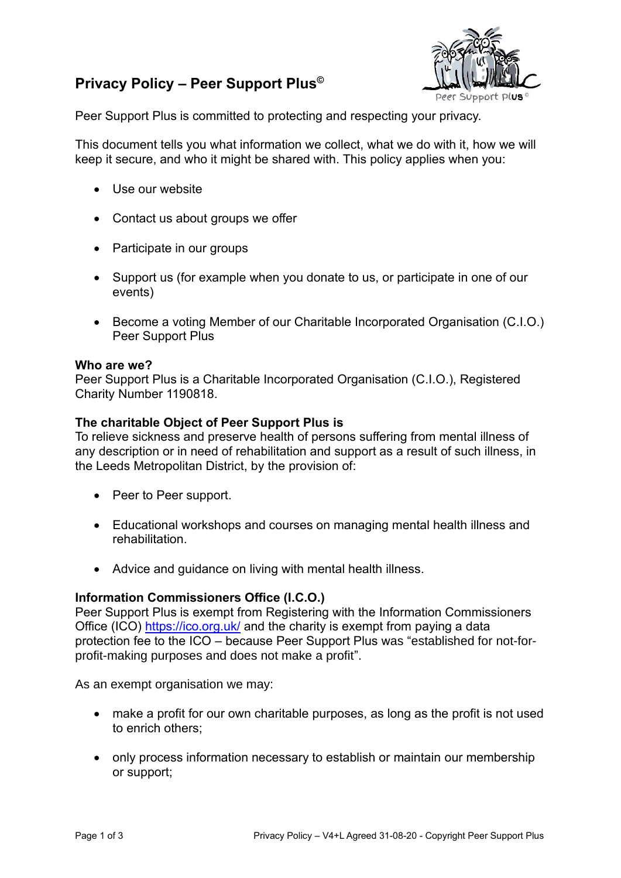# **Privacy Policy – Peer Support Plus©**



Peer Support Plus is committed to protecting and respecting your privacy.

This document tells you what information we collect, what we do with it, how we will keep it secure, and who it might be shared with. This policy applies when you:

- Use our website
- Contact us about groups we offer
- Participate in our groups
- Support us (for example when you donate to us, or participate in one of our events)
- Become a voting Member of our Charitable Incorporated Organisation (C.I.O.) Peer Support Plus

## **Who are we?**

Peer Support Plus is a Charitable Incorporated Organisation (C.I.O.), Registered Charity Number 1190818.

## **The charitable Object of Peer Support Plus is**

To relieve sickness and preserve health of persons suffering from mental illness of any description or in need of rehabilitation and support as a result of such illness, in the Leeds Metropolitan District, by the provision of:

- Peer to Peer support.
- Educational workshops and courses on managing mental health illness and rehabilitation.
- Advice and guidance on living with mental health illness.

## **Information Commissioners Office (I.C.O.)**

Peer Support Plus is exempt from Registering with the Information Commissioners Office (ICO)<https://ico.org.uk/> and the charity is exempt from paying a data protection fee to the ICO – because Peer Support Plus was "established for not-forprofit-making purposes and does not make a profit".

As an exempt organisation we may:

- make a profit for our own charitable purposes, as long as the profit is not used to enrich others;
- only process information necessary to establish or maintain our membership or support;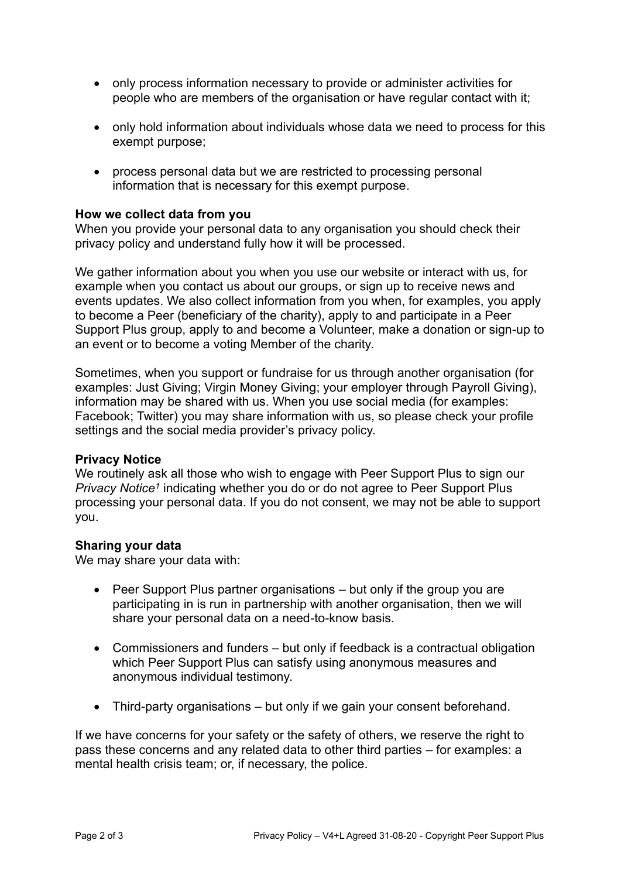- only process information necessary to provide or administer activities for people who are members of the organisation or have regular contact with it;
- only hold information about individuals whose data we need to process for this exempt purpose;
- process personal data but we are restricted to processing personal information that is necessary for this exempt purpose.

## **How we collect data from you**

When you provide your personal data to any organisation you should check their privacy policy and understand fully how it will be processed.

We gather information about you when you use our website or interact with us, for example when you contact us about our groups, or sign up to receive news and events updates. We also collect information from you when, for examples, you apply to become a Peer (beneficiary of the charity), apply to and participate in a Peer Support Plus group, apply to and become a Volunteer, make a donation or sign-up to an event or to become a voting Member of the charity.

Sometimes, when you support or fundraise for us through another organisation (for examples: Just Giving; Virgin Money Giving; your employer through Payroll Giving), information may be shared with us. When you use social media (for examples: Facebook; Twitter) you may share information with us, so please check your profile settings and the social media provider's privacy policy.

#### **Privacy Notice**

We routinely ask all those who wish to engage with Peer Support Plus to sign our Privacy Notice<sup>1</sup> indicating whether you do or do not agree to Peer Support Plus processing your personal data. If you do not consent, we may not be able to support you.

#### **Sharing your data**

We may share your data with:

- Peer Support Plus partner organisations but only if the group you are participating in is run in partnership with another organisation, then we will share your personal data on a need-to-know basis.
- Commissioners and funders but only if feedback is a contractual obligation which Peer Support Plus can satisfy using anonymous measures and anonymous individual testimony.
- Third-party organisations but only if we gain your consent beforehand.

If we have concerns for your safety or the safety of others, we reserve the right to pass these concerns and any related data to other third parties – for examples: a mental health crisis team; or, if necessary, the police.